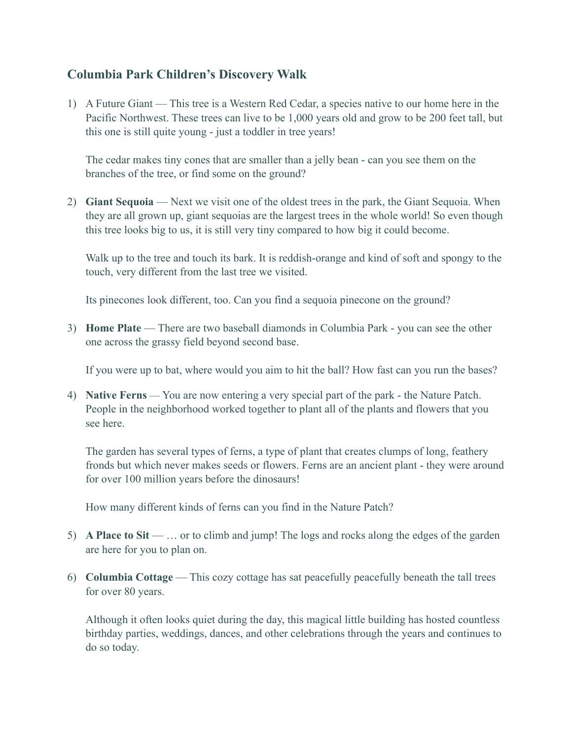## **Columbia Park Children's Discovery Walk**

1) A Future Giant — This tree is a Western Red Cedar, a species native to our home here in the Pacific Northwest. These trees can live to be 1,000 years old and grow to be 200 feet tall, but this one is still quite young - just a toddler in tree years!

The cedar makes tiny cones that are smaller than a jelly bean - can you see them on the branches of the tree, or find some on the ground?

2) **Giant Sequoia** — Next we visit one of the oldest trees in the park, the Giant Sequoia. When they are all grown up, giant sequoias are the largest trees in the whole world! So even though this tree looks big to us, it is still very tiny compared to how big it could become.

Walk up to the tree and touch its bark. It is reddish-orange and kind of soft and spongy to the touch, very different from the last tree we visited.

Its pinecones look different, too. Can you find a sequoia pinecone on the ground?

3) **Home Plate** — There are two baseball diamonds in Columbia Park - you can see the other one across the grassy field beyond second base.

If you were up to bat, where would you aim to hit the ball? How fast can you run the bases?

4) **Native Ferns** — You are now entering a very special part of the park - the Nature Patch. People in the neighborhood worked together to plant all of the plants and flowers that you see here.

The garden has several types of ferns, a type of plant that creates clumps of long, feathery fronds but which never makes seeds or flowers. Ferns are an ancient plant - they were around for over 100 million years before the dinosaurs!

How many different kinds of ferns can you find in the Nature Patch?

- 5) **A Place to Sit** … or to climb and jump! The logs and rocks along the edges of the garden are here for you to plan on.
- 6) **Columbia Cottage** This cozy cottage has sat peacefully peacefully beneath the tall trees for over 80 years.

Although it often looks quiet during the day, this magical little building has hosted countless birthday parties, weddings, dances, and other celebrations through the years and continues to do so today.